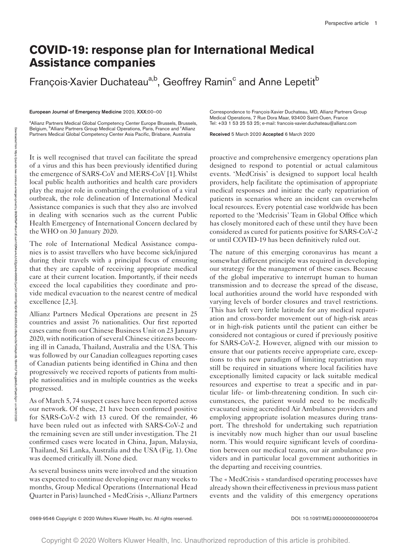## **COVID-19: response plan for International Medical Assistance companies**

François-Xavier Duchateau<sup>a,b</sup>, Geoffrey Ramin<sup>c</sup> and Anne Lepetit<sup>b</sup>

European Journal of Emergency Medicine 2020, XXX:00–00

<sup>a</sup> Allianz Partners Medical Global Competency Center Europe Brussels, Brussels, Belgium, <sup>b</sup>Allianz Partners Group Medical Operations, Paris, France and <sup>c</sup>Allianz Partners Medical Global Competency Center Asia Pacific, Brisbane, Australia

It is well recognised that travel can facilitate the spread of a virus and this has been previously identified during the emergence of SARS-CoV and MERS-CoV [1]. Whilst local public health authorities and health care providers play the major role in combatting the evolution of a viral outbreak, the role delineation of International Medical Assistance companies is such that they also are involved in dealing with scenarios such as the current Public Health Emergency of International Concern declared by the WHO on 30 January 2020.

The role of International Medical Assistance companies is to assist travellers who have become sick/injured during their travels with a principal focus of ensuring that they are capable of receiving appropriate medical care at their current location. Importantly, if their needs exceed the local capabilities they coordinate and provide medical evacuation to the nearest centre of medical excellence [2,3].

Allianz Partners Medical Operations are present in 25 countries and assist 76 nationalities. Our first reported cases came from our Chinese Business Unit on 23 January 2020, with notification of several Chinese citizens becoming ill in Canada, Thailand, Australia and the USA. This was followed by our Canadian colleagues reporting cases of Canadian patients being identified in China and then progressively we received reports of patients from multiple nationalities and in multiple countries as the weeks progressed.

As of March 5, 74 suspect cases have been reported across our network. Of these, 21 have been confirmed positive for SARS-CoV-2 with 13 cured. Of the remainder, 46 have been ruled out as infected with SARS-CoV-2 and the remaining seven are still under investigation. The 21 confirmed cases were located in China, Japan, Malaysia, Thailand, Sri Lanka, Australia and the USA (Fig. 1). One was deemed critically ill. None died.

As several business units were involved and the situation was expected to continue developing over many weeks to months, Group Medical Operations (International Head Quarter in Paris) launched « MedCrisis », Allianz Partners

Correspondence to François-Xavier Duchateau, MD, Allianz Partners Group Medical Operations, 7 Rue Dora Maar, 93400 Saint-Ouen, France Tel: +33 1 53 25 53 25; e-mail[: francois-xavier.duchateau@allianz.com](mailto:francois-xavier.duchateau@allianz.com)

Received 5 March 2020 Accepted 6 March 2020

proactive and comprehensive emergency operations plan designed to respond to potential or actual calamitous events. 'MedCrisis' is designed to support local health providers, help facilitate the optimisation of appropriate medical responses and initiate the early repatriation of patients in scenarios where an incident can overwhelm local resources. Every potential case worldwide has been reported to the 'Medcrisis' Team in Global Office which has closely monitored each of these until they have been considered as cured for patients positive for SARS-CoV-2 or until COVID-19 has been definitively ruled out.

The nature of this emerging coronavirus has meant a somewhat different principle was required in developing our strategy for the management of these cases. Because of the global imperative to interrupt human to human transmission and to decrease the spread of the disease, local authorities around the world have responded with varying levels of border closures and travel restrictions. This has left very little latitude for any medical repatriation and cross-border movement out of high-risk areas or in high-risk patients until the patient can either be considered not contagious or cured if previously positive for SARS-CoV-2. However, aligned with our mission to ensure that our patients receive appropriate care, exceptions to this new paradigm of limiting repatriation may still be required in situations where local facilities have exceptionally limited capacity or lack suitable medical resources and expertise to treat a specific and in particular life- or limb-threatening condition. In such circumstances, the patient would need to be medically evacuated using accredited Air Ambulance providers and employing appropriate isolation measures during transport. The threshold for undertaking such repatriation is inevitably now much higher than our usual baseline norm. This would require significant levels of coordination between our medical teams, our air ambulance providers and in particular local government authorities in the departing and receiving countries.

The « MedCrisis » standardised operating processes have already shown their effectiveness in previous mass patient events and the validity of this emergency operations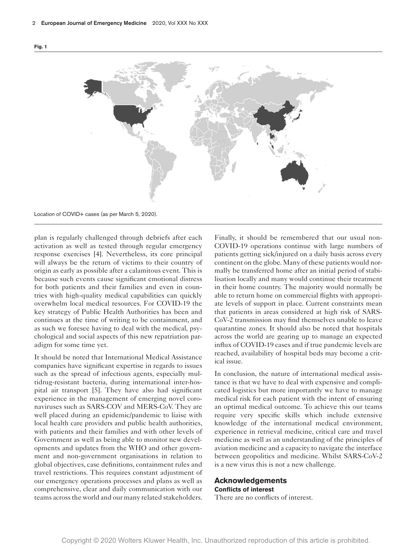

Location of COVID+ cases (as per March 5, 2020).

plan is regularly challenged through debriefs after each activation as well as tested through regular emergency response exercises [4]. Nevertheless, its core principal will always be the return of victims to their country of origin as early as possible after a calamitous event. This is because such events cause significant emotional distress for both patients and their families and even in countries with high-quality medical capabilities can quickly overwhelm local medical resources. For COVID-19 the key strategy of Public Health Authorities has been and continues at the time of writing to be containment, and as such we foresee having to deal with the medical, psychological and social aspects of this new repatriation paradigm for some time yet.

It should be noted that International Medical Assistance companies have significant expertise in regards to issues such as the spread of infectious agents, especially multidrug-resistant bacteria, during international inter-hospital air transport [5]. They have also had significant experience in the management of emerging novel coronaviruses such as SARS-COV and MERS-CoV. They are well placed during an epidemic/pandemic to liaise with local health care providers and public health authorities, with patients and their families and with other levels of Government as well as being able to monitor new developments and updates from the WHO and other government and non-government organisations in relation to global objectives, case definitions, containment rules and travel restrictions. This requires constant adjustment of our emergency operations processes and plans as well as comprehensive, clear and daily communication with our teams across the world and our many related stakeholders. Finally, it should be remembered that our usual non-COVID-19 operations continue with large numbers of patients getting sick/injured on a daily basis across every continent on the globe. Many of these patients would normally be transferred home after an initial period of stabilisation locally and many would continue their treatment in their home country. The majority would normally be able to return home on commercial flights with appropriate levels of support in place. Current constraints mean that patients in areas considered at high risk of SARS-CoV-2 transmission may find themselves unable to leave quarantine zones. It should also be noted that hospitals across the world are gearing up to manage an expected influx of COVID-19 cases and if true pandemic levels are reached, availability of hospital beds may become a critical issue.

In conclusion, the nature of international medical assistance is that we have to deal with expensive and complicated logistics but more importantly we have to manage medical risk for each patient with the intent of ensuring an optimal medical outcome. To achieve this our teams require very specific skills which include extensive knowledge of the international medical environment, experience in retrieval medicine, critical care and travel medicine as well as an understanding of the principles of aviation medicine and a capacity to navigate the interface between geopolitics and medicine. Whilst SARS-CoV-2 is a new virus this is not a new challenge.

## **Acknowledgements Conflicts of interest**

There are no conflicts of interest.